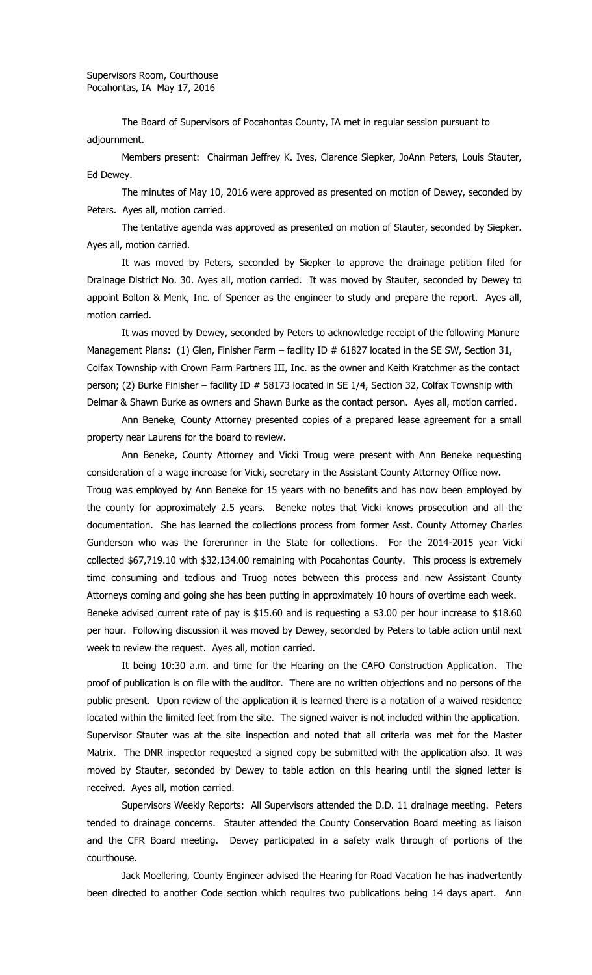The Board of Supervisors of Pocahontas County, IA met in regular session pursuant to adjournment.

Members present: Chairman Jeffrey K. Ives, Clarence Siepker, JoAnn Peters, Louis Stauter, Ed Dewey.

The minutes of May 10, 2016 were approved as presented on motion of Dewey, seconded by Peters. Ayes all, motion carried.

The tentative agenda was approved as presented on motion of Stauter, seconded by Siepker. Ayes all, motion carried.

It was moved by Peters, seconded by Siepker to approve the drainage petition filed for Drainage District No. 30. Ayes all, motion carried. It was moved by Stauter, seconded by Dewey to appoint Bolton & Menk, Inc. of Spencer as the engineer to study and prepare the report. Ayes all, motion carried.

It was moved by Dewey, seconded by Peters to acknowledge receipt of the following Manure Management Plans: (1) Glen, Finisher Farm – facility ID # 61827 located in the SE SW, Section 31, Colfax Township with Crown Farm Partners III, Inc. as the owner and Keith Kratchmer as the contact person; (2) Burke Finisher - facility ID # 58173 located in SE 1/4, Section 32, Colfax Township with Delmar & Shawn Burke as owners and Shawn Burke as the contact person. Ayes all, motion carried.

Ann Beneke, County Attorney presented copies of a prepared lease agreement for a small property near Laurens for the board to review.

Ann Beneke, County Attorney and Vicki Troug were present with Ann Beneke requesting consideration of a wage increase for Vicki, secretary in the Assistant County Attorney Office now. Troug was employed by Ann Beneke for 15 years with no benefits and has now been employed by the county for approximately 2.5 years. Beneke notes that Vicki knows prosecution and all the documentation. She has learned the collections process from former Asst. County Attorney Charles Gunderson who was the forerunner in the State for collections. For the 2014-2015 year Vicki collected \$67,719.10 with \$32,134.00 remaining with Pocahontas County. This process is extremely time consuming and tedious and Truog notes between this process and new Assistant County Attorneys coming and going she has been putting in approximately 10 hours of overtime each week. Beneke advised current rate of pay is \$15.60 and is requesting a \$3.00 per hour increase to \$18.60 per hour. Following discussion it was moved by Dewey, seconded by Peters to table action until next week to review the request. Ayes all, motion carried.

It being 10:30 a.m. and time for the Hearing on the CAFO Construction Application. The proof of publication is on file with the auditor. There are no written objections and no persons of the public present. Upon review of the application it is learned there is a notation of a waived residence located within the limited feet from the site. The signed waiver is not included within the application. Supervisor Stauter was at the site inspection and noted that all criteria was met for the Master Matrix. The DNR inspector requested a signed copy be submitted with the application also. It was moved by Stauter, seconded by Dewey to table action on this hearing until the signed letter is received. Ayes all, motion carried.

Supervisors Weekly Reports: All Supervisors attended the D.D. 11 drainage meeting. Peters tended to drainage concerns. Stauter attended the County Conservation Board meeting as liaison and the CFR Board meeting. Dewey participated in a safety walk through of portions of the courthouse.

Jack Moellering, County Engineer advised the Hearing for Road Vacation he has inadvertently been directed to another Code section which requires two publications being 14 days apart. Ann